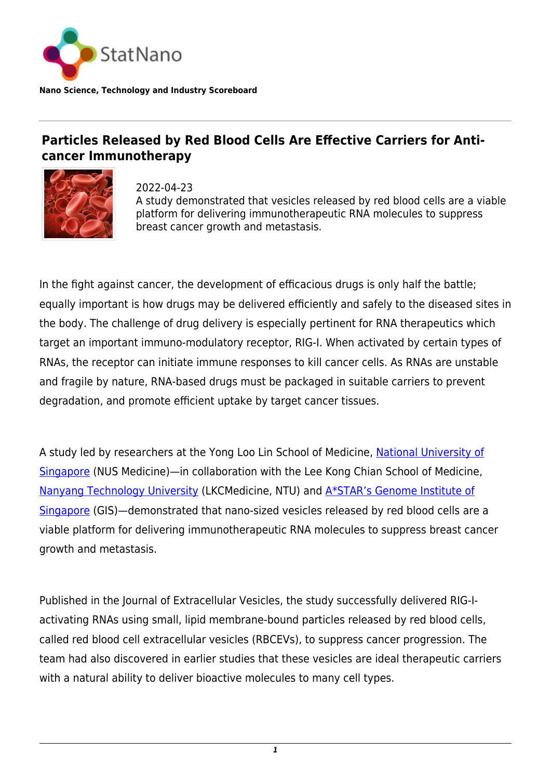

**Nano Science, Technology and Industry Scoreboard**

## **Particles Released by Red Blood Cells Are Effective Carriers for Anticancer Immunotherapy**



2022-04-23 A study demonstrated that vesicles released by red blood cells are a viable platform for delivering immunotherapeutic RNA molecules to suppress breast cancer growth and metastasis.

In the fight against cancer, the development of efficacious drugs is only half the battle; equally important is how drugs may be delivered efficiently and safely to the diseased sites in the body. The challenge of drug delivery is especially pertinent for RNA therapeutics which target an important immuno-modulatory receptor, RIG-I. When activated by certain types of RNAs, the receptor can initiate immune responses to kill cancer cells. As RNAs are unstable and fragile by nature, RNA-based drugs must be packaged in suitable carriers to prevent degradation, and promote efficient uptake by target cancer tissues.

A study led by researchers at the Yong Loo Lin School of Medicine, [National University of](https://statnano.com/org/National-University-of-Singapore) [Singapore](https://statnano.com/org/National-University-of-Singapore) (NUS Medicine)—in collaboration with the Lee Kong Chian School of Medicine, [Nanyang Technology University](https://statnano.com/org/Nanyang-Technological-University) (LKCMedicine, NTU) and [A\\*STAR's Genome Institute of](https://www.a-star.edu.sg/gis) [Singapore](https://www.a-star.edu.sg/gis) (GIS)—demonstrated that nano-sized vesicles released by red blood cells are a viable platform for delivering immunotherapeutic RNA molecules to suppress breast cancer growth and metastasis.

Published in the Journal of Extracellular Vesicles, the study successfully delivered RIG-Iactivating RNAs using small, lipid membrane-bound particles released by red blood cells, called red blood cell extracellular vesicles (RBCEVs), to suppress cancer progression. The team had also discovered in earlier studies that these vesicles are ideal therapeutic carriers with a natural ability to deliver bioactive molecules to many cell types.